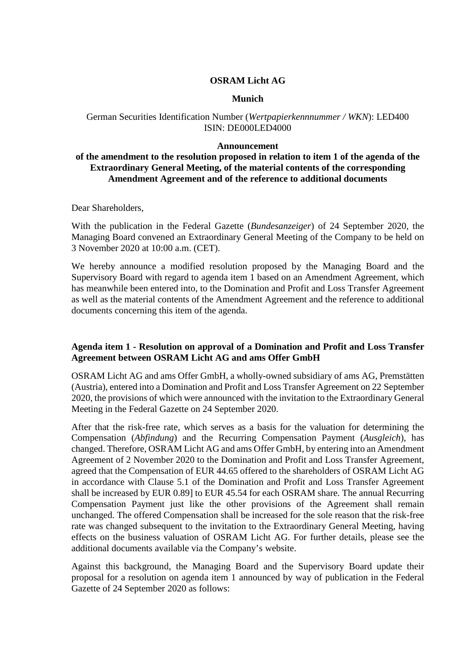### **OSRAM Licht AG**

### **Munich**

## German Securities Identification Number (*Wertpapierkennnummer / WKN*): LED400 ISIN: DE000LED4000

### **Announcement**

# **of the amendment to the resolution proposed in relation to item 1 of the agenda of the Extraordinary General Meeting, of the material contents of the corresponding Amendment Agreement and of the reference to additional documents**

Dear Shareholders,

With the publication in the Federal Gazette (*Bundesanzeiger*) of 24 September 2020, the Managing Board convened an Extraordinary General Meeting of the Company to be held on 3 November 2020 at 10:00 a.m. (CET).

We hereby announce a modified resolution proposed by the Managing Board and the Supervisory Board with regard to agenda item 1 based on an Amendment Agreement, which has meanwhile been entered into, to the Domination and Profit and Loss Transfer Agreement as well as the material contents of the Amendment Agreement and the reference to additional documents concerning this item of the agenda.

# **Agenda item 1 - Resolution on approval of a Domination and Profit and Loss Transfer Agreement between OSRAM Licht AG and ams Offer GmbH**

OSRAM Licht AG and ams Offer GmbH, a wholly-owned subsidiary of ams AG, Premstätten (Austria), entered into a Domination and Profit and Loss Transfer Agreement on 22 September 2020, the provisions of which were announced with the invitation to the Extraordinary General Meeting in the Federal Gazette on 24 September 2020.

After that the risk-free rate, which serves as a basis for the valuation for determining the Compensation (*Abfindung*) and the Recurring Compensation Payment (*Ausgleich*), has changed. Therefore, OSRAM Licht AG and ams Offer GmbH, by entering into an Amendment Agreement of 2 November 2020 to the Domination and Profit and Loss Transfer Agreement, agreed that the Compensation of EUR 44.65 offered to the shareholders of OSRAM Licht AG in accordance with Clause 5.1 of the Domination and Profit and Loss Transfer Agreement shall be increased by EUR 0.89] to EUR 45.54 for each OSRAM share. The annual Recurring Compensation Payment just like the other provisions of the Agreement shall remain unchanged. The offered Compensation shall be increased for the sole reason that the risk-free rate was changed subsequent to the invitation to the Extraordinary General Meeting, having effects on the business valuation of OSRAM Licht AG. For further details, please see the additional documents available via the Company's website.

Against this background, the Managing Board and the Supervisory Board update their proposal for a resolution on agenda item 1 announced by way of publication in the Federal Gazette of 24 September 2020 as follows: